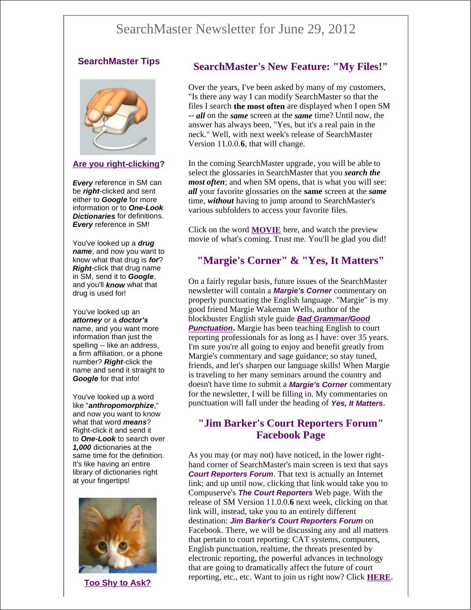# SearchMaster Newsletter for June 29, 2012

#### **SearchMaster Tips**



#### **Are you right-clicking?**

*Every* reference in SM can be *right*-clicked and sent either to *Google* for more information or to *One-Look Dictionaries* for definitions. *Every* reference in SM!

You've looked up a *drug name*, and now you want to know what that drug is *for*? *Right*-click that drug name in SM, send it to *Google*, and you'll *know* what that drug is used for!

You've looked up an *attorney* or a *doctor's* name, and you want more information than just the spelling -- like an address, a firm affiliation, or a phone number? *Right*-click the name and send it straight to *Google* for that info!

You've looked up a word like "*anthropomorphize*," and now you want to know what that word *means*? Right-click it and send it to *One-Look* to search over *1,000* dictionaries at the same time for the definition. It's like having an entire library of dictionaries right at your fingertips!



**Too Shy to Ask?**

### **SearchMaster's New Feature: "My Files!"**

Over the years, I've been asked by many of my customers, "Is there any way I can modify SearchMaster so that the files I search **the most often** are displayed when I open SM -- *all* on the *same* screen at the *same* time? Until now, the answer has always been, "Yes, but it's a real pain in the neck." Well, with next week's release of SearchMaster Version 11.0.0.**6**, that will change.

In the coming SearchMaster upgrade, you will be able to select the glossaries in SearchMaster that you *search the most often*; and when SM opens, that is what you will see: *all* your favorite glossaries on the **same** screen at the *same* time, *without* having to jump around to SearchMaster's various subfolders to access your favorite files.

Click on the word **MOVIE** here, and watch the preview movie of what's coming. Trust me. You'll be glad you did!

# **"Margie's Corner" & "Yes, It Matters"**

On a fairly regular basis, future issues of the SearchMaster newsletter will contain a *Margie's Corner* commentary on properly punctuating the English language. "Margie" is my good friend Margie Wakeman Wells, author of the blockbuster English style guide *Bad Grammar/Good*  **Punctuation.** Margie has been teaching English to court reporting professionals for as long as I have: over 35 years. I'm sure you're all going to enjoy and benefit greatly from Margie's commentary and sage guidance; so stay tuned, friends, and let's sharpen our language skills! When Margie is traveling to her many seminars around the country and doesn't have time to submit a *Margie's Corner* commentary for the newsletter, I will be filling in. My commentaries on punctuation will fall under the heading of *Yes, It Matters*.

# **"Jim Barker's Court Reporters Forum" Facebook Page**

As you may (or may not) have noticed, in the lower righthand corner of SearchMaster's main screen is text that says *Court Reporters Forum*. That text is actually an Internet link; and up until now, clicking that link would take you to Compuserve's *The Court Reporters* Web page. With the release of SM Version 11.0.0.**6** next week, clicking on that link will, instead, take you to an entirely different destination: *Jim Barker's Court Reporters Forum* on Facebook. There, we will be discussing any and all matters that pertain to court reporting: CAT systems, computers, English punctuation, realtime, the threats presented by electronic reporting, the powerful advances in technology that are going to dramatically affect the future of court reporting, etc., etc. Want to join us right now? Click **HERE**.